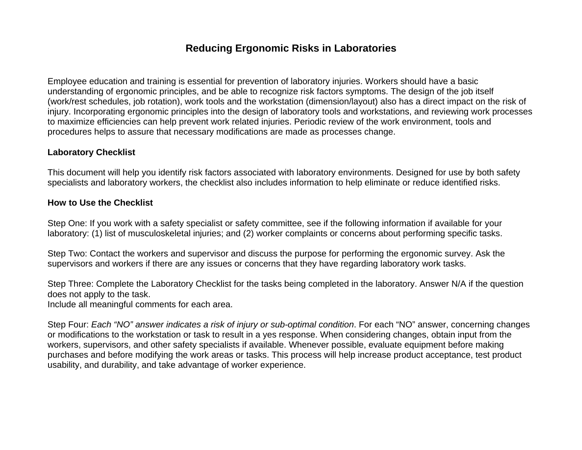## **Reducing Ergonomic Risks in Laboratories**

Employee education and training is essential for prevention of laboratory injuries. Workers should have a basic understanding of ergonomic principles, and be able to recognize risk factors symptoms. The design of the job itself (work/rest schedules, job rotation), work tools and the workstation (dimension/layout) also has a direct impact on the risk of injury. Incorporating ergonomic principles into the design of laboratory tools and workstations, and reviewing work processes to maximize efficiencies can help prevent work related injuries. Periodic review of the work environment, tools and procedures helps to assure that necessary modifications are made as processes change.

## **Laboratory Checklist**

This document will help you identify risk factors associated with laboratory environments. Designed for use by both safety specialists and laboratory workers, the checklist also includes information to help eliminate or reduce identified risks.

## **How to Use the Checklist**

Step One: If you work with a safety specialist or safety committee, see if the following information if available for your laboratory: (1) list of musculoskeletal injuries; and (2) worker complaints or concerns about performing specific tasks.

Step Two: Contact the workers and supervisor and discuss the purpose for performing the ergonomic survey. Ask the supervisors and workers if there are any issues or concerns that they have regarding laboratory work tasks.

Step Three: Complete the Laboratory Checklist for the tasks being completed in the laboratory. Answer N/A if the question does not apply to the task.

Include all meaningful comments for each area.

Step Four: *Each "NO" answer indicates a risk of injury or sub-optimal condition*. For each "NO" answer, concerning changes or modifications to the workstation or task to result in a yes response. When considering changes, obtain input from the workers, supervisors, and other safety specialists if available. Whenever possible, evaluate equipment before making purchases and before modifying the work areas or tasks. This process will help increase product acceptance, test product usability, and durability, and take advantage of worker experience.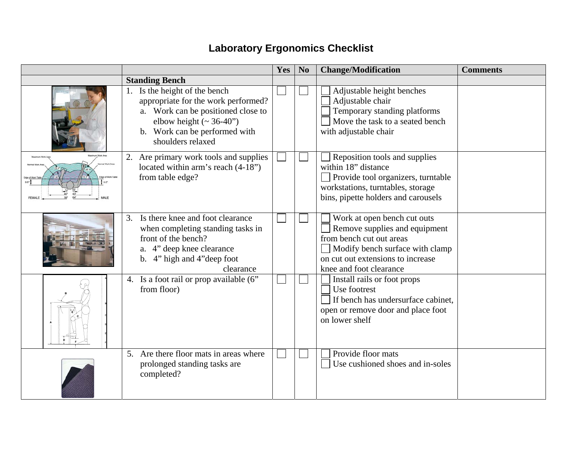## **Laboratory Ergonomics Checklist**

|                                                                                                                                                                                                    | Yes | N <sub>0</sub> | <b>Change/Modification</b>                                                                                                                                                                  | <b>Comments</b> |
|----------------------------------------------------------------------------------------------------------------------------------------------------------------------------------------------------|-----|----------------|---------------------------------------------------------------------------------------------------------------------------------------------------------------------------------------------|-----------------|
| <b>Standing Bench</b>                                                                                                                                                                              |     |                |                                                                                                                                                                                             |                 |
| 1. Is the height of the bench<br>appropriate for the work performed?<br>a. Work can be positioned close to<br>elbow height $({\sim} 36-40")$<br>b. Work can be performed with<br>shoulders relaxed |     |                | Adjustable height benches<br>Adjustable chair<br>Temporary standing platforms<br>Move the task to a seated bench<br>with adjustable chair                                                   |                 |
| Are primary work tools and supplies<br>located within arm's reach (4-18")<br>from table edge?                                                                                                      |     |                | Reposition tools and supplies<br>within 18" distance<br>Provide tool organizers, turntable<br>workstations, turntables, storage<br>bins, pipette holders and carousels                      |                 |
| Is there knee and foot clearance<br>3.<br>when completing standing tasks in<br>front of the bench?<br>a. 4" deep knee clearance<br>4" high and 4" deep foot<br>$\mathbf{b}$ .<br>clearance         |     |                | Work at open bench cut outs<br>Remove supplies and equipment<br>from bench cut out areas<br>Modify bench surface with clamp<br>on cut out extensions to increase<br>knee and foot clearance |                 |
| 4. Is a foot rail or prop available (6"<br>from floor)                                                                                                                                             |     |                | Install rails or foot props<br>Use footrest<br>If bench has undersurface cabinet,<br>open or remove door and place foot<br>on lower shelf                                                   |                 |
| 5. Are there floor mats in areas where<br>prolonged standing tasks are<br>completed?                                                                                                               |     |                | Provide floor mats<br>Use cushioned shoes and in-soles                                                                                                                                      |                 |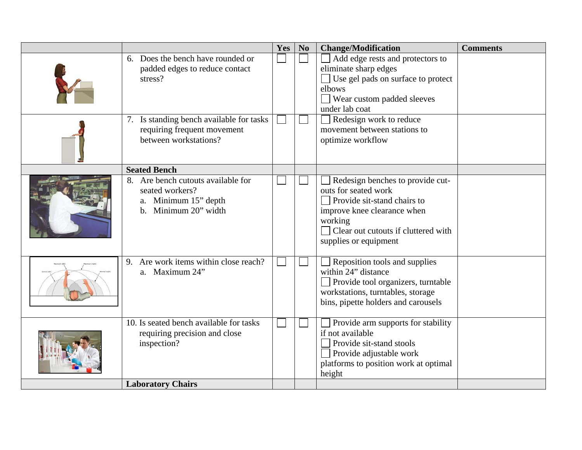|                                                                                                       | Yes | N <sub>0</sub> | <b>Change/Modification</b>                                                                                                                                                                        | <b>Comments</b> |
|-------------------------------------------------------------------------------------------------------|-----|----------------|---------------------------------------------------------------------------------------------------------------------------------------------------------------------------------------------------|-----------------|
| 6. Does the bench have rounded or<br>padded edges to reduce contact<br>stress?                        |     |                | Add edge rests and protectors to<br>eliminate sharp edges<br>Use gel pads on surface to protect<br>elbows<br>Wear custom padded sleeves<br>under lab coat                                         |                 |
| 7. Is standing bench available for tasks<br>requiring frequent movement<br>between workstations?      |     |                | Redesign work to reduce<br>movement between stations to<br>optimize workflow                                                                                                                      |                 |
| <b>Seated Bench</b>                                                                                   |     |                |                                                                                                                                                                                                   |                 |
| 8. Are bench cutouts available for<br>seated workers?<br>Minimum 15" depth<br>Minimum 20" width<br>b. |     |                | Redesign benches to provide cut-<br>outs for seated work<br>Provide sit-stand chairs to<br>improve knee clearance when<br>working<br>Clear out cutouts if cluttered with<br>supplies or equipment |                 |
| Are work items within close reach?<br>9.<br>a. Maximum 24"                                            |     |                | Reposition tools and supplies<br>within 24" distance<br>Provide tool organizers, turntable<br>workstations, turntables, storage<br>bins, pipette holders and carousels                            |                 |
| 10. Is seated bench available for tasks<br>requiring precision and close<br>inspection?               |     |                | Provide arm supports for stability<br>if not available<br>Provide sit-stand stools<br>Provide adjustable work<br>platforms to position work at optimal<br>height                                  |                 |
| <b>Laboratory Chairs</b>                                                                              |     |                |                                                                                                                                                                                                   |                 |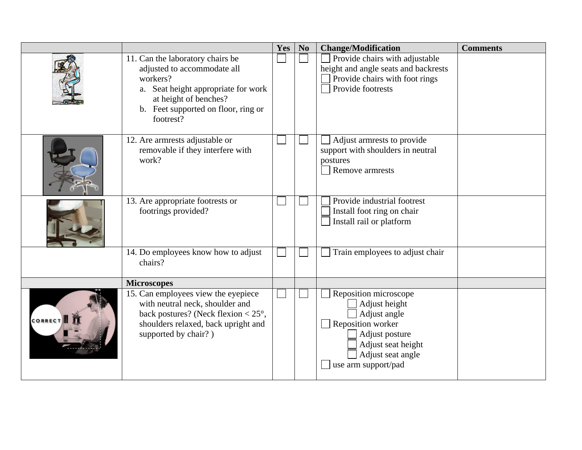|                |                                                                                                                                                                                                    | Yes | N <sub>0</sub> | <b>Change/Modification</b>                                                                                                                                      | <b>Comments</b> |
|----------------|----------------------------------------------------------------------------------------------------------------------------------------------------------------------------------------------------|-----|----------------|-----------------------------------------------------------------------------------------------------------------------------------------------------------------|-----------------|
|                | 11. Can the laboratory chairs be<br>adjusted to accommodate all<br>workers?<br>Seat height appropriate for work<br>a.<br>at height of benches?<br>b. Feet supported on floor, ring or<br>footrest? |     |                | Provide chairs with adjustable<br>height and angle seats and backrests<br>Provide chairs with foot rings<br>Provide footrests                                   |                 |
|                | 12. Are armrests adjustable or<br>removable if they interfere with<br>work?                                                                                                                        |     |                | Adjust armrests to provide<br>support with shoulders in neutral<br>postures<br>Remove armrests                                                                  |                 |
|                | 13. Are appropriate footrests or<br>footrings provided?                                                                                                                                            |     |                | Provide industrial footrest<br>Install foot ring on chair<br>Install rail or platform                                                                           |                 |
|                | 14. Do employees know how to adjust<br>chairs?                                                                                                                                                     |     |                | Train employees to adjust chair                                                                                                                                 |                 |
|                | <b>Microscopes</b>                                                                                                                                                                                 |     |                |                                                                                                                                                                 |                 |
| <b>CORRECT</b> | 15. Can employees view the eyepiece<br>with neutral neck, shoulder and<br>back postures? (Neck flexion $<$ 25 $^{\circ}$ ,<br>shoulders relaxed, back upright and<br>supported by chair?)          |     |                | Reposition microscope<br>Adjust height<br>Adjust angle<br>Reposition worker<br>Adjust posture<br>Adjust seat height<br>Adjust seat angle<br>use arm support/pad |                 |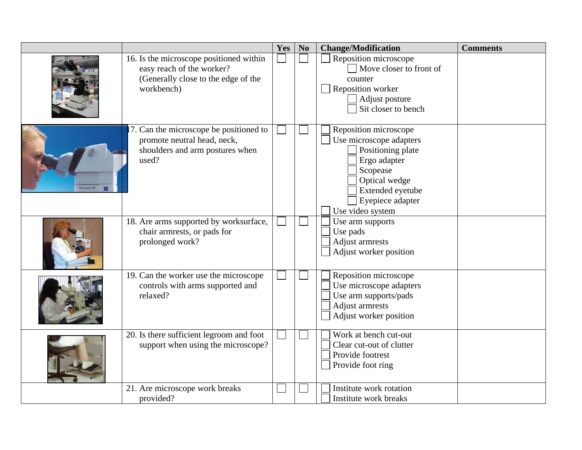|                   |                                                                                                                           | Yes | N <sub>o</sub> | <b>Change/Modification</b>                                                                                                                                                     | <b>Comments</b> |
|-------------------|---------------------------------------------------------------------------------------------------------------------------|-----|----------------|--------------------------------------------------------------------------------------------------------------------------------------------------------------------------------|-----------------|
|                   | 16. Is the microscope positioned within<br>easy reach of the worker?<br>(Generally close to the edge of the<br>workbench) |     |                | Reposition microscope<br>$\Box$ Move closer to front of<br>counter<br>Reposition worker<br>Adjust posture<br>Sit closer to bench                                               |                 |
| <b>BY.ynoconO</b> | 7. Can the microscope be positioned to<br>promote neutral head, neck,<br>shoulders and arm postures when<br>used?         |     |                | Reposition microscope<br>Use microscope adapters<br>Positioning plate<br>Ergo adapter<br>Scopease<br>Optical wedge<br>Extended eyetube<br>Eyepiece adapter<br>Use video system |                 |
|                   | 18. Are arms supported by worksurface,<br>chair armrests, or pads for<br>prolonged work?                                  |     |                | Use arm supports<br>Use pads<br>Adjust armrests<br>Adjust worker position                                                                                                      |                 |
|                   | 19. Can the worker use the microscope<br>controls with arms supported and<br>relaxed?                                     |     |                | Reposition microscope<br>Use microscope adapters<br>Use arm supports/pads<br>Adjust armrests<br>Adjust worker position                                                         |                 |
|                   | 20. Is there sufficient legroom and foot<br>support when using the microscope?                                            |     |                | Work at bench cut-out<br>Clear cut-out of clutter<br>Provide footrest<br>Provide foot ring                                                                                     |                 |
|                   | 21. Are microscope work breaks<br>provided?                                                                               |     |                | Institute work rotation<br>Institute work breaks                                                                                                                               |                 |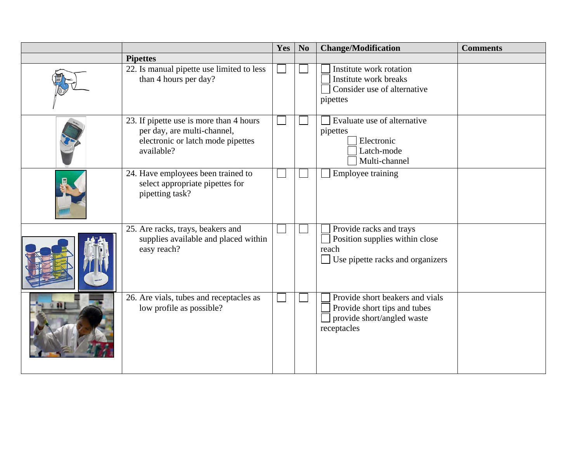|                                                                                                                           | Yes | N <sub>0</sub> | <b>Change/Modification</b>                                                                                             | <b>Comments</b> |
|---------------------------------------------------------------------------------------------------------------------------|-----|----------------|------------------------------------------------------------------------------------------------------------------------|-----------------|
| <b>Pipettes</b>                                                                                                           |     |                |                                                                                                                        |                 |
| 22. Is manual pipette use limited to less<br>than 4 hours per day?                                                        |     |                | Institute work rotation<br>Institute work breaks<br>Consider use of alternative<br>pipettes                            |                 |
| 23. If pipette use is more than 4 hours<br>per day, are multi-channel,<br>electronic or latch mode pipettes<br>available? |     |                | Evaluate use of alternative<br>pipettes<br>Electronic<br>Latch-mode<br>Multi-channel                                   |                 |
| 24. Have employees been trained to<br>select appropriate pipettes for<br>pipetting task?                                  |     |                | Employee training                                                                                                      |                 |
| 25. Are racks, trays, beakers and<br>supplies available and placed within<br>easy reach?                                  |     |                | Provide racks and trays<br>Position supplies within close<br>reach<br>Use pipette racks and organizers<br>$\mathbf{I}$ |                 |
| 26. Are vials, tubes and receptacles as<br>low profile as possible?                                                       |     |                | Provide short beakers and vials<br>Provide short tips and tubes<br>provide short/angled waste<br>receptacles           |                 |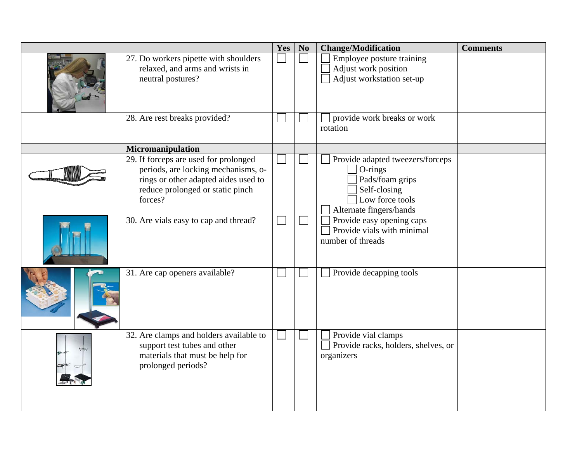|                                                                                                                                                                     | Yes | N <sub>o</sub> | <b>Change/Modification</b>                                                                                                   | <b>Comments</b> |
|---------------------------------------------------------------------------------------------------------------------------------------------------------------------|-----|----------------|------------------------------------------------------------------------------------------------------------------------------|-----------------|
| 27. Do workers pipette with shoulders<br>relaxed, and arms and wrists in<br>neutral postures?                                                                       |     |                | Employee posture training<br>Adjust work position<br>Adjust workstation set-up                                               |                 |
| 28. Are rest breaks provided?                                                                                                                                       |     |                | provide work breaks or work<br>rotation                                                                                      |                 |
| Micromanipulation                                                                                                                                                   |     |                |                                                                                                                              |                 |
| 29. If forceps are used for prolonged<br>periods, are locking mechanisms, o-<br>rings or other adapted aides used to<br>reduce prolonged or static pinch<br>forces? |     |                | Provide adapted tweezers/forceps<br>O-rings<br>Pads/foam grips<br>Self-closing<br>Low force tools<br>Alternate fingers/hands |                 |
| 30. Are vials easy to cap and thread?                                                                                                                               |     |                | Provide easy opening caps<br>Provide vials with minimal<br>number of threads                                                 |                 |
| 31. Are cap openers available?                                                                                                                                      |     |                | Provide decapping tools                                                                                                      |                 |
| 32. Are clamps and holders available to<br>support test tubes and other<br>materials that must be help for<br>prolonged periods?                                    |     |                | Provide vial clamps<br>Provide racks, holders, shelves, or<br>organizers                                                     |                 |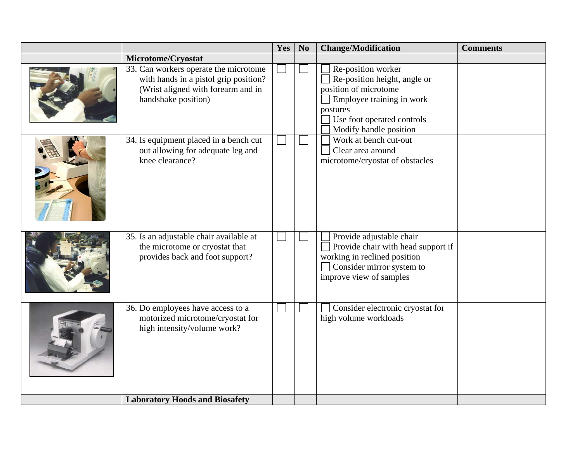|                                                                                                                                             | Yes | N <sub>o</sub> | <b>Change/Modification</b>                                                                                                                                                   | <b>Comments</b> |
|---------------------------------------------------------------------------------------------------------------------------------------------|-----|----------------|------------------------------------------------------------------------------------------------------------------------------------------------------------------------------|-----------------|
| Microtome/Cryostat                                                                                                                          |     |                |                                                                                                                                                                              |                 |
| 33. Can workers operate the microtome<br>with hands in a pistol grip position?<br>(Wrist aligned with forearm and in<br>handshake position) |     |                | Re-position worker<br>Re-position height, angle or<br>position of microtome<br>Employee training in work<br>postures<br>Use foot operated controls<br>Modify handle position |                 |
| 34. Is equipment placed in a bench cut<br>out allowing for adequate leg and<br>knee clearance?                                              |     |                | Work at bench cut-out<br>Clear area around<br>microtome/cryostat of obstacles                                                                                                |                 |
| 35. Is an adjustable chair available at<br>the microtome or cryostat that<br>provides back and foot support?                                |     |                | Provide adjustable chair<br>Provide chair with head support if<br>working in reclined position<br>Consider mirror system to<br>improve view of samples                       |                 |
| 36. Do employees have access to a<br>motorized microtome/cryostat for<br>high intensity/volume work?                                        |     |                | Consider electronic cryostat for<br>high volume workloads                                                                                                                    |                 |
| <b>Laboratory Hoods and Biosafety</b>                                                                                                       |     |                |                                                                                                                                                                              |                 |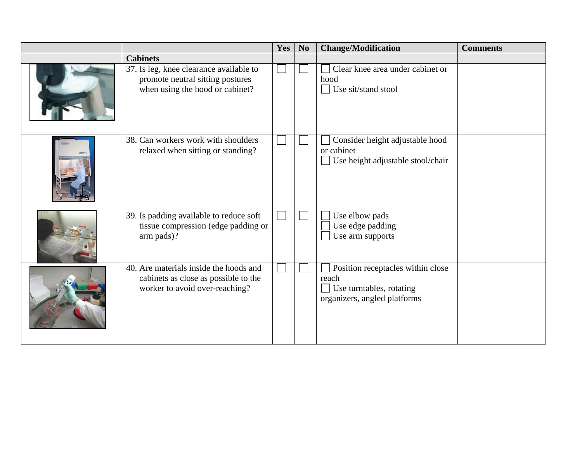|                                                                                                                  | Yes | N <sub>0</sub> | <b>Change/Modification</b>                                                                                               | <b>Comments</b> |
|------------------------------------------------------------------------------------------------------------------|-----|----------------|--------------------------------------------------------------------------------------------------------------------------|-----------------|
| <b>Cabinets</b>                                                                                                  |     |                |                                                                                                                          |                 |
| 37. Is leg, knee clearance available to<br>promote neutral sitting postures<br>when using the hood or cabinet?   |     |                | Clear knee area under cabinet or<br>hood<br>Use sit/stand stool<br>$\mathcal{L}$                                         |                 |
| 38. Can workers work with shoulders<br>relaxed when sitting or standing?                                         |     |                | Consider height adjustable hood<br>or cabinet<br>Use height adjustable stool/chair<br>$\mathcal{L}$                      |                 |
| 39. Is padding available to reduce soft<br>tissue compression (edge padding or<br>arm pads)?                     |     |                | Use elbow pads<br>Use edge padding<br>Use arm supports                                                                   |                 |
| 40. Are materials inside the hoods and<br>cabinets as close as possible to the<br>worker to avoid over-reaching? |     |                | Position receptacles within close<br>reach<br>Use turntables, rotating<br><b>College</b><br>organizers, angled platforms |                 |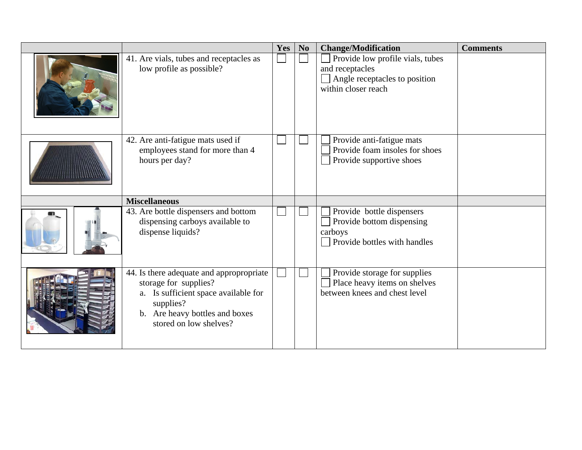|   |                                                                                                                                                                                    | Yes | N <sub>0</sub> | <b>Change/Modification</b>                                                                                  | <b>Comments</b> |
|---|------------------------------------------------------------------------------------------------------------------------------------------------------------------------------------|-----|----------------|-------------------------------------------------------------------------------------------------------------|-----------------|
|   | 41. Are vials, tubes and receptacles as<br>low profile as possible?                                                                                                                |     |                | Provide low profile vials, tubes<br>and receptacles<br>Angle receptacles to position<br>within closer reach |                 |
|   | 42. Are anti-fatigue mats used if<br>employees stand for more than 4<br>hours per day?                                                                                             |     |                | Provide anti-fatigue mats<br>Provide foam insoles for shoes<br>Provide supportive shoes                     |                 |
|   | <b>Miscellaneous</b>                                                                                                                                                               |     |                |                                                                                                             |                 |
| m | 43. Are bottle dispensers and bottom<br>dispensing carboys available to<br>dispense liquids?                                                                                       |     |                | Provide bottle dispensers<br>Provide bottom dispensing<br>carboys<br>Provide bottles with handles           |                 |
|   | 44. Is there adequate and appropropriate<br>storage for supplies?<br>a. Is sufficient space available for<br>supplies?<br>b. Are heavy bottles and boxes<br>stored on low shelves? |     |                | Provide storage for supplies<br>Place heavy items on shelves<br>between knees and chest level               |                 |